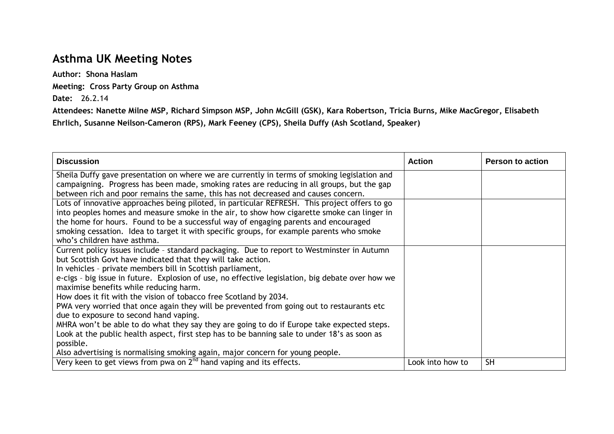## **Asthma UK Meeting Notes**

**Author: Shona Haslam Meeting: Cross Party Group on Asthma Date:** 26.2.14

**Attendees: Nanette Milne MSP, Richard Simpson MSP, John McGill (GSK), Kara Robertson, Tricia Burns, Mike MacGregor, Elisabeth Ehrlich, Susanne Neilson-Cameron (RPS), Mark Feeney (CPS), Sheila Duffy (Ash Scotland, Speaker)**

| <b>Discussion</b>                                                                                | <b>Action</b>    | <b>Person to action</b> |
|--------------------------------------------------------------------------------------------------|------------------|-------------------------|
| Sheila Duffy gave presentation on where we are currently in terms of smoking legislation and     |                  |                         |
| campaigning. Progress has been made, smoking rates are reducing in all groups, but the gap       |                  |                         |
| between rich and poor remains the same, this has not decreased and causes concern.               |                  |                         |
| Lots of innovative approaches being piloted, in particular REFRESH. This project offers to go    |                  |                         |
| into peoples homes and measure smoke in the air, to show how cigarette smoke can linger in       |                  |                         |
| the home for hours. Found to be a successful way of engaging parents and encouraged              |                  |                         |
| smoking cessation. Idea to target it with specific groups, for example parents who smoke         |                  |                         |
| who's children have asthma.                                                                      |                  |                         |
| Current policy issues include - standard packaging. Due to report to Westminster in Autumn       |                  |                         |
| but Scottish Govt have indicated that they will take action.                                     |                  |                         |
| In vehicles - private members bill in Scottish parliament,                                       |                  |                         |
| e-cigs - big issue in future. Explosion of use, no effective legislation, big debate over how we |                  |                         |
| maximise benefits while reducing harm.                                                           |                  |                         |
| How does it fit with the vision of tobacco free Scotland by 2034.                                |                  |                         |
| PWA very worried that once again they will be prevented from going out to restaurants etc        |                  |                         |
| due to exposure to second hand vaping.                                                           |                  |                         |
| MHRA won't be able to do what they say they are going to do if Europe take expected steps.       |                  |                         |
| Look at the public health aspect, first step has to be banning sale to under 18's as soon as     |                  |                         |
| possible.                                                                                        |                  |                         |
| Also advertising is normalising smoking again, major concern for young people.                   |                  |                         |
| Very keen to get views from pwa on 2 <sup>nd</sup> hand vaping and its effects.                  | Look into how to | <b>SH</b>               |